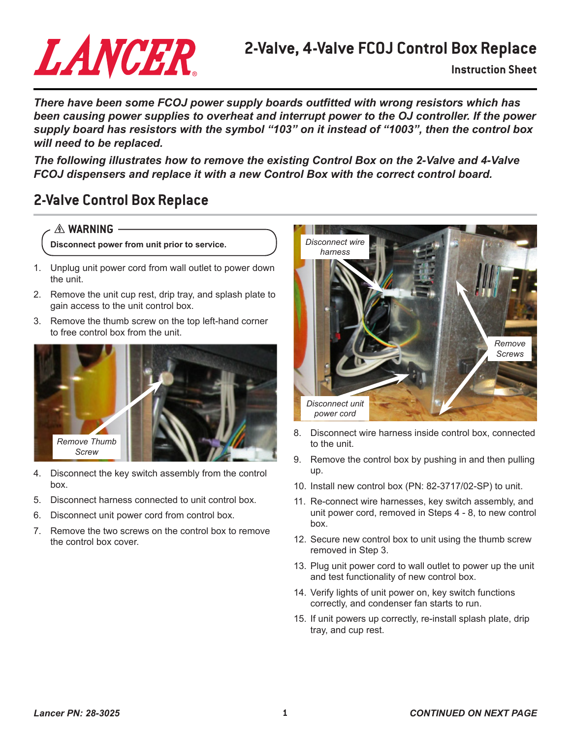# LANCER

# **2-Valve, 4-Valve FCOJ Control Box Replace**

**Instruction Sheet**

*There have been some FCOJ power supply boards outfitted with wrong resistors which has been causing power supplies to overheat and interrupt power to the OJ controller. If the power supply board has resistors with the symbol "103" on it instead of "1003", then the control box will need to be replaced.* 

*The following illustrates how to remove the existing Control Box on the 2-Valve and 4-Valve FCOJ dispensers and replace it with a new Control Box with the correct control board.*

### **2-Valve Control Box Replace**

#### $A$  **WARNING**

**Disconnect power from unit prior to service.**

- 1. Unplug unit power cord from wall outlet to power down the unit.
- 2. Remove the unit cup rest, drip tray, and splash plate to gain access to the unit control box.
- 3. Remove the thumb screw on the top left-hand corner to free control box from the unit.



- 4. Disconnect the key switch assembly from the control box.
- 5. Disconnect harness connected to unit control box.
- 6. Disconnect unit power cord from control box.
- 7. Remove the two screws on the control box to remove the control box cover.



- 8. Disconnect wire harness inside control box, connected to the unit.
- 9. Remove the control box by pushing in and then pulling up.
- 10. Install new control box (PN: 82-3717/02-SP) to unit.
- 11. Re-connect wire harnesses, key switch assembly, and unit power cord, removed in Steps 4 - 8, to new control box.
- 12. Secure new control box to unit using the thumb screw removed in Step 3.
- 13. Plug unit power cord to wall outlet to power up the unit and test functionality of new control box.
- 14. Verify lights of unit power on, key switch functions correctly, and condenser fan starts to run.
- 15. If unit powers up correctly, re-install splash plate, drip tray, and cup rest.